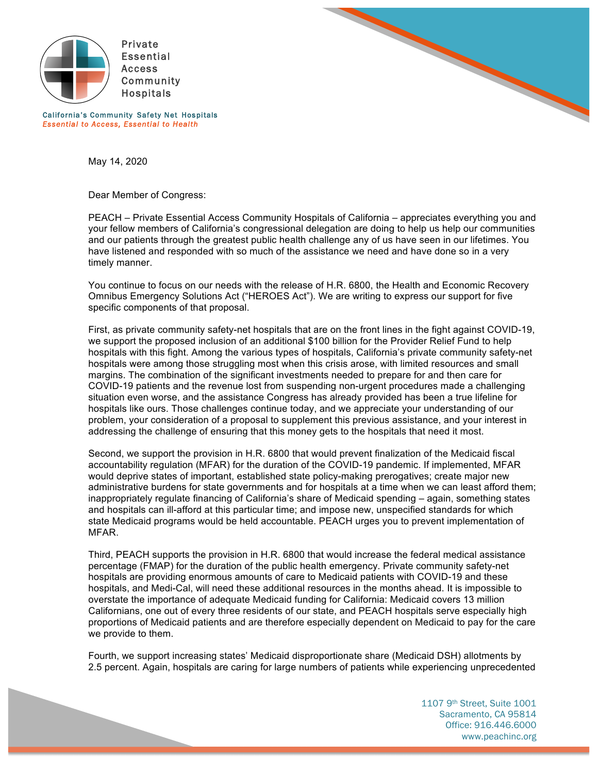



California's Community Safety Net Hospitals *Essential to Access, Essential to Health* 

May 14, 2020

Dear Member of Congress:

PEACH – Private Essential Access Community Hospitals of California – appreciates everything you and your fellow members of California's congressional delegation are doing to help us help our communities and our patients through the greatest public health challenge any of us have seen in our lifetimes. You have listened and responded with so much of the assistance we need and have done so in a very timely manner.

You continue to focus on our needs with the release of H.R. 6800, the Health and Economic Recovery Omnibus Emergency Solutions Act ("HEROES Act"). We are writing to express our support for five specific components of that proposal.

First, as private community safety-net hospitals that are on the front lines in the fight against COVID-19, we support the proposed inclusion of an additional \$100 billion for the Provider Relief Fund to help hospitals with this fight. Among the various types of hospitals, California's private community safety-net hospitals were among those struggling most when this crisis arose, with limited resources and small margins. The combination of the significant investments needed to prepare for and then care for COVID-19 patients and the revenue lost from suspending non-urgent procedures made a challenging situation even worse, and the assistance Congress has already provided has been a true lifeline for hospitals like ours. Those challenges continue today, and we appreciate your understanding of our problem, your consideration of a proposal to supplement this previous assistance, and your interest in addressing the challenge of ensuring that this money gets to the hospitals that need it most.

Second, we support the provision in H.R. 6800 that would prevent finalization of the Medicaid fiscal accountability regulation (MFAR) for the duration of the COVID-19 pandemic. If implemented, MFAR would deprive states of important, established state policy-making prerogatives; create major new administrative burdens for state governments and for hospitals at a time when we can least afford them; inappropriately regulate financing of California's share of Medicaid spending – again, something states and hospitals can ill-afford at this particular time; and impose new, unspecified standards for which state Medicaid programs would be held accountable. PEACH urges you to prevent implementation of MFAR.

Third, PEACH supports the provision in H.R. 6800 that would increase the federal medical assistance percentage (FMAP) for the duration of the public health emergency. Private community safety-net hospitals are providing enormous amounts of care to Medicaid patients with COVID-19 and these hospitals, and Medi-Cal, will need these additional resources in the months ahead. It is impossible to overstate the importance of adequate Medicaid funding for California: Medicaid covers 13 million Californians, one out of every three residents of our state, and PEACH hospitals serve especially high proportions of Medicaid patients and are therefore especially dependent on Medicaid to pay for the care we provide to them.

Fourth, we support increasing states' Medicaid disproportionate share (Medicaid DSH) allotments by 2.5 percent. Again, hospitals are caring for large numbers of patients while experiencing unprecedented

> 1107 9th Street, Suite 1001 Sacramento, CA 95814 Office: 916.446.6000 www.peachinc.org